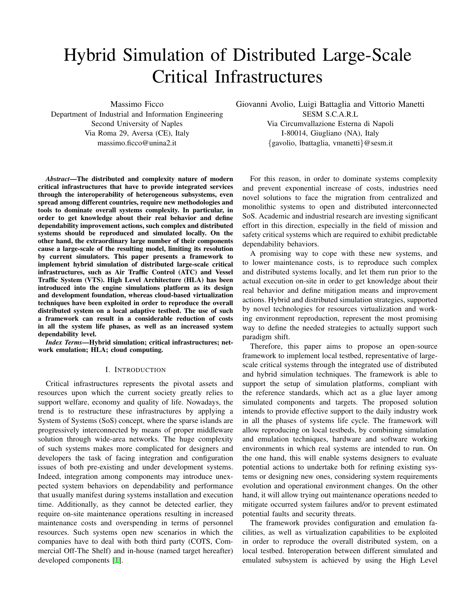# Hybrid Simulation of Distributed Large-Scale Critical Infrastructures

Massimo Ficco

Department of Industrial and Information Engineering Second University of Naples Via Roma 29, Aversa (CE), Italy massimo.ficco@unina2.it

*Abstract*—The distributed and complexity nature of modern critical infrastructures that have to provide integrated services through the interoperability of heterogeneous subsystems, even spread among different countries, require new methodologies and tools to dominate overall systems complexity. In particular, in order to get knowledge about their real behavior and define dependability improvement actions, such complex and distributed systems should be reproduced and simulated locally. On the other hand, the extraordinary large number of their components cause a large-scale of the resulting model, limiting its resolution by current simulators. This paper presents a framework to implement hybrid simulation of distributed large-scale critical infrastructures, such as Air Traffic Control (ATC) and Vessel Traffic System (VTS). High Level Architecture (HLA) has been introduced into the engine simulations platform as its design and development foundation, whereas cloud-based virtualization techniques have been exploited in order to reproduce the overall distributed system on a local adaptive testbed. The use of such a framework can result in a considerable reduction of costs in all the system life phases, as well as an increased system dependability level.

*Index Terms*—Hybrid simulation; critical infrastructures; network emulation; HLA; cloud computing.

## I. INTRODUCTION

Critical infrastructures represents the pivotal assets and resources upon which the current society greatly relies to support welfare, economy and quality of life. Nowadays, the trend is to restructure these infrastructures by applying a System of Systems (SoS) concept, where the sparse islands are progressively interconnected by means of proper middleware solution through wide-area networks. The huge complexity of such systems makes more complicated for designers and developers the task of facing integration and configuration issues of both pre-existing and under development systems. Indeed, integration among components may introduce unexpected system behaviors on dependability and performance that usually manifest during systems installation and execution time. Additionally, as they cannot be detected earlier, they require on-site maintenance operations resulting in increased maintenance costs and overspending in terms of personnel resources. Such systems open new scenarios in which the companies have to deal with both third party (COTS, Commercial Off-The Shelf) and in-house (named target hereafter) developed components [[1\]](#page-5-0).

Giovanni Avolio, Luigi Battaglia and Vittorio Manetti

SESM S.C.A.R.L Via Circumvallazione Esterna di Napoli I-80014, Giugliano (NA), Italy *{*gavolio, lbattaglia, vmanetti*}*@sesm.it

For this reason, in order to dominate systems complexity and prevent exponential increase of costs, industries need novel solutions to face the migration from centralized and monolithic systems to open and distributed interconnected SoS. Academic and industrial research are investing significant effort in this direction, especially in the field of mission and safety critical systems which are required to exhibit predictable dependability behaviors.

A promising way to cope with these new systems, and to lower maintenance costs, is to reproduce such complex and distributed systems locally, and let them run prior to the actual execution on-site in order to get knowledge about their real behavior and define mitigation means and improvement actions. Hybrid and distributed simulation strategies, supported by novel technologies for resources virtualization and working environment reproduction, represent the most promising way to define the needed strategies to actually support such paradigm shift.

Therefore, this paper aims to propose an open-source framework to implement local testbed, representative of largescale critical systems through the integrated use of distributed and hybrid simulation techniques. The framework is able to support the setup of simulation platforms, compliant with the reference standards, which act as a glue layer among simulated components and targets. The proposed solution intends to provide effective support to the daily industry work in all the phases of systems life cycle. The framework will allow reproducing on local testbeds, by combining simulation and emulation techniques, hardware and software working environments in which real systems are intended to run. On the one hand, this will enable systems designers to evaluate potential actions to undertake both for refining existing systems or designing new ones, considering system requirements evolution and operational environment changes. On the other hand, it will allow trying out maintenance operations needed to mitigate occurred system failures and/or to prevent estimated potential faults and security threats.

The framework provides configuration and emulation facilities, as well as virtualization capabilities to be exploited in order to reproduce the overall distributed system, on a local testbed. Interoperation between different simulated and emulated subsystem is achieved by using the High Level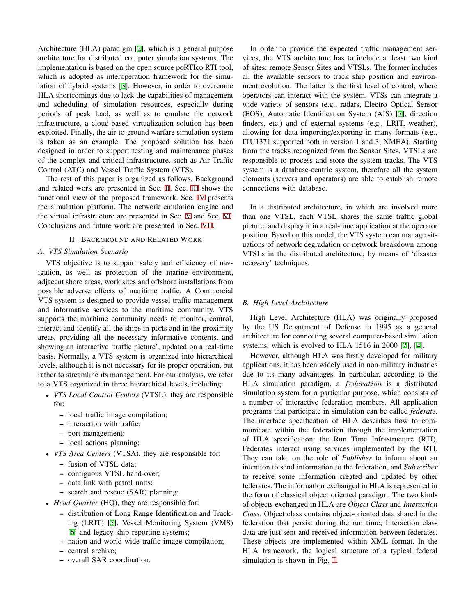Architecture (HLA) paradigm [[2\]](#page-5-1), which is a general purpose architecture for distributed computer simulation systems. The implementation is based on the open source poRTIco RTI tool, which is adopted as interoperation framework for the simulation of hybrid systems [\[3](#page-5-2)]. However, in order to overcome HLA shortcomings due to lack the capabilities of management and scheduling of simulation resources, especially during periods of peak load, as well as to emulate the network infrastructure, a cloud-based virtualization solution has been exploited. Finally, the air-to-ground warfare simulation system is taken as an example. The proposed solution has been designed in order to support testing and maintenance phases of the complex and critical infrastructure, such as Air Traffic Control (ATC) and Vessel Traffic System (VTS).

The rest of this paper is organized as follows. Background and related work are presented in Sec. [II.](#page-1-0) Sec. [III](#page-2-0) shows the functional view of the proposed framework. Sec. [IV](#page-3-0) presents the simulation platform. The network emulation engine and the virtual infrastructure are presented in Sec. [V](#page-4-0) and Sec. [VI.](#page-5-3) Conclusions and future work are presented in Sec. [VII](#page-5-4).

# II. BACKGROUND AND RELATED WORK

# <span id="page-1-1"></span><span id="page-1-0"></span>*A. VTS Simulation Scenario*

VTS objective is to support safety and efficiency of navigation, as well as protection of the marine environment, adjacent shore areas, work sites and offshore installations from possible adverse effects of maritime traffic. A Commercial VTS system is designed to provide vessel traffic management and informative services to the maritime community. VTS supports the maritime community needs to monitor, control, interact and identify all the ships in ports and in the proximity areas, providing all the necessary informative contents, and showing an interactive 'traffic picture', updated on a real-time basis. Normally, a VTS system is organized into hierarchical levels, although it is not necessary for its proper operation, but rather to streamline its management. For our analysis, we refer to a VTS organized in three hierarchical levels, including:

- *• VTS Local Control Centers* (VTSL), they are responsible for:
	- local traffic image compilation;
	- interaction with traffic;
	- port management;
	- local actions planning;
- *• VTS Area Centers* (VTSA), they are responsible for:
	- fusion of VTSL data;
	- contiguous VTSL hand-over;
	- data link with patrol units;
	- search and rescue (SAR) planning;
- *Head Quarter* (HQ), they are responsible for:
	- distribution of Long Range Identification and Tracking (LRIT) [[5\]](#page-5-5), Vessel Monitoring System (VMS) [[6\]](#page-5-6) and legacy ship reporting systems;
	- nation and world wide traffic image compilation;
	- central archive;
	- overall SAR coordination.

In order to provide the expected traffic management services, the VTS architecture has to include at least two kind of sites: remote Sensor Sites and VTSLs. The former includes all the available sensors to track ship position and environment evolution. The latter is the first level of control, where operators can interact with the system. VTSs can integrate a wide variety of sensors (e.g., radars, Electro Optical Sensor (EOS), Automatic Identification System (AIS) [\[7](#page-5-7)], direction finders, etc.) and of external systems (e.g., LRIT, weather), allowing for data importing/exporting in many formats (e.g., ITU1371 supported both in version 1 and 3, NMEA). Starting from the tracks recognized from the Sensor Sites, VTSLs are responsible to process and store the system tracks. The VTS system is a database-centric system, therefore all the system elements (servers and operators) are able to establish remote connections with database.

In a distributed architecture, in which are involved more than one VTSL, each VTSL shares the same traffic global picture, and display it in a real-time application at the operator position. Based on this model, the VTS system can manage situations of network degradation or network breakdown among VTSLs in the distributed architecture, by means of 'disaster recovery' techniques.

# *B. High Level Architecture*

High Level Architecture (HLA) was originally proposed by the US Department of Defense in 1995 as a general architecture for connecting several computer-based simulation systems, which is evolved to HLA 1516 in 2000 [\[2](#page-5-1)], [\[4](#page-5-8)].

However, although HLA was firstly developed for military applications, it has been widely used in non-military industries due to its many advantages. In particular, according to the HLA simulation paradigm, a *federation* is a distributed simulation system for a particular purpose, which consists of a number of interactive federation members. All application programs that participate in simulation can be called *federate*. The interface specification of HLA describes how to communicate within the federation through the implementation of HLA specification: the Run Time Infrastructure (RTI). Federates interact using services implemented by the RTI. They can take on the role of *Publisher* to inform about an intention to send information to the federation, and *Subscriber* to receive some information created and updated by other federates. The information exchanged in HLA is represented in the form of classical object oriented paradigm. The two kinds of objects exchanged in HLA are *Object Class* and *Interaction Class*. Object class contains object-oriented data shared in the federation that persist during the run time; Interaction class data are just sent and received information between federates. These objects are implemented within XML format. In the HLA framework, the logical structure of a typical federal simulation is shown in Fig. [1](#page-2-1).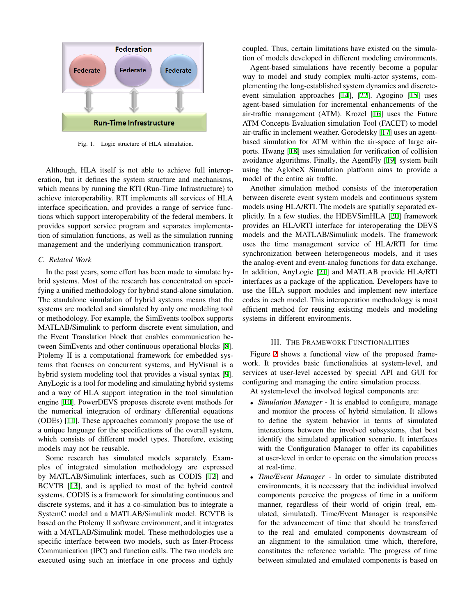

Fig. 1. Logic structure of HLA silmulation.

Although, HLA itself is not able to achieve full interoperation, but it defines the system structure and mechanisms, which means by running the RTI (Run-Time Infrastructure) to achieve interoperability. RTI implements all services of HLA interface specification, and provides a range of service functions which support interoperability of the federal members. It provides support service program and separates implementation of simulation functions, as well as the simulation running management and the underlying communication transport.

# *C. Related Work*

In the past years, some effort has been made to simulate hybrid systems. Most of the research has concentrated on specifying a unified methodology for hybrid stand-alone simulation. The standalone simulation of hybrid systems means that the systems are modeled and simulated by only one modeling tool or methodology. For example, the SimEvents toolbox supports MATLAB/Simulink to perform discrete event simulation, and the Event Translation block that enables communication between SimEvents and other continuous operational blocks [\[8](#page-5-9)]. Ptolemy II is a computational framework for embedded systems that focuses on concurrent systems, and HyVisual is a hybrid system modeling tool that provides a visual syntax [\[9](#page-6-0)]. AnyLogic is a tool for modeling and simulating hybrid systems and a way of HLA support integration in the tool simulation engine [[10\]](#page-6-1). PowerDEVS proposes discrete event methods for the numerical integration of ordinary differential equations (ODEs) [\[11](#page-6-2)]. These approaches commonly propose the use of a unique language for the specifications of the overall system, which consists of different model types. Therefore, existing models may not be reusable.

Some research has simulated models separately. Examples of integrated simulation methodology are expressed by MATLAB/Simulink interfaces, such as CODIS [[12\]](#page-6-3) and BCVTB [\[13](#page-6-4)], and is applied to most of the hybrid control systems. CODIS is a framework for simulating continuous and discrete systems, and it has a co-simulation bus to integrate a SystemC model and a MATLAB/Simulink model. BCVTB is based on the Ptolemy II software environment, and it integrates with a MATLAB/Simulink model. These methodologies use a specific interface between two models, such as Inter-Process Communication (IPC) and function calls. The two models are executed using such an interface in one process and tightly

coupled. Thus, certain limitations have existed on the simulation of models developed in different modeling environments.

<span id="page-2-1"></span>Agent-based simulations have recently become a popular way to model and study complex multi-actor systems, complementing the long-established system dynamics and discreteevent simulation approaches [[14\]](#page-6-5), [\[22](#page-6-6)]. Agogino [\[15](#page-6-7)] uses agent-based simulation for incremental enhancements of the air-traffic management (ATM). Krozel [[16\]](#page-6-8) uses the Future ATM Concepts Evaluation simulation Tool (FACET) to model air-traffic in inclement weather. Gorodetsky [\[17](#page-6-9)] uses an agentbased simulation for ATM within the air-space of large airports. Hwang [[18\]](#page-6-10) uses simulation for verification of collision avoidance algorithms. Finally, the AgentFly [\[19](#page-6-11)] system built using the AglobeX Simulation platform aims to provide a model of the entire air traffic.

Another simulation method consists of the interoperation between discrete event system models and continuous system models using HLA/RTI. The models are spatially separated explicitly. In a few studies, the HDEVSimHLA [\[20\]](#page-6-12) framework provides an HLA/RTI interface for interoperating the DEVS models and the MATLAB/Simulink models. The framework uses the time management service of HLA/RTI for time synchronization between heterogeneous models, and it uses the analog-event and event-analog functions for data exchange. In addition, AnyLogic [\[21](#page-6-13)] and MATLAB provide HLA/RTI interfaces as a package of the application. Developers have to use the HLA support modules and implement new interface codes in each model. This interoperation methodology is most efficient method for reusing existing models and modeling systems in different environments.

## III. THE FRAMEWORK FUNCTIONALITIES

<span id="page-2-0"></span>Figure [2](#page-3-1) shows a functional view of the proposed framework. It provides basic functionalities at system-level, and services at user-level accessed by special API and GUI for configuring and managing the entire simulation process.

At system-level the involved logical components are:

- *• Simulation Manager* It is enabled to configure, manage and monitor the process of hybrid simulation. It allows to define the system behavior in terms of simulated interactions between the involved subsystems, that best identify the simulated application scenario. It interfaces with the Configuration Manager to offer its capabilities at user-level in order to operate on the simulation process at real-time.
- *• Time/Event Manager* In order to simulate distributed environments, it is necessary that the individual involved components perceive the progress of time in a uniform manner, regardless of their world of origin (real, emulated, simulated). Time/Event Manager is responsible for the advancement of time that should be transferred to the real and emulated components downstream of an alignment to the simulation time which, therefore, constitutes the reference variable. The progress of time between simulated and emulated components is based on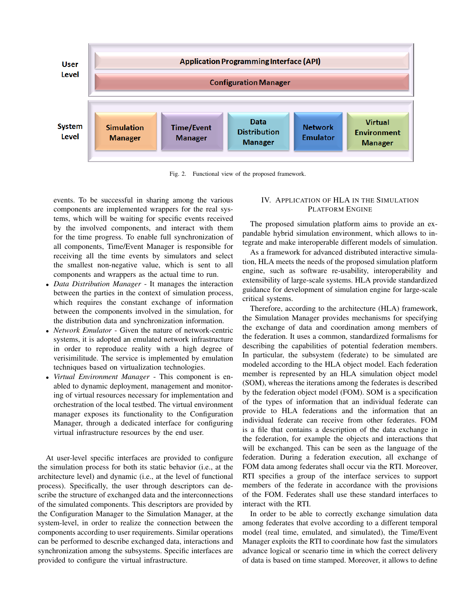

Fig. 2. Functional view of the proposed framework.

events. To be successful in sharing among the various components are implemented wrappers for the real systems, which will be waiting for specific events received by the involved components, and interact with them for the time progress. To enable full synchronization of all components, Time/Event Manager is responsible for receiving all the time events by simulators and select the smallest non-negative value, which is sent to all components and wrappers as the actual time to run.

- *• Data Distribution Manager* It manages the interaction between the parties in the context of simulation process, which requires the constant exchange of information between the components involved in the simulation, for the distribution data and synchronization information.
- *• Network Emulator* Given the nature of network-centric systems, it is adopted an emulated network infrastructure in order to reproduce reality with a high degree of verisimilitude. The service is implemented by emulation techniques based on virtualization technologies.
- *• Virtual Environment Manager* This component is enabled to dynamic deployment, management and monitoring of virtual resources necessary for implementation and orchestration of the local testbed. The virtual environment manager exposes its functionality to the Configuration Manager, through a dedicated interface for configuring virtual infrastructure resources by the end user.

At user-level specific interfaces are provided to configure the simulation process for both its static behavior (i.e., at the architecture level) and dynamic (i.e., at the level of functional process). Specifically, the user through descriptors can describe the structure of exchanged data and the interconnections of the simulated components. This descriptors are provided by the Configuration Manager to the Simulation Manager, at the system-level, in order to realize the connection between the components according to user requirements. Similar operations can be performed to describe exchanged data, interactions and synchronization among the subsystems. Specific interfaces are provided to configure the virtual infrastructure.

# <span id="page-3-1"></span><span id="page-3-0"></span>IV. APPLICATION OF HLA IN THE SIMULATION PLATFORM ENGINE

The proposed simulation platform aims to provide an expandable hybrid simulation environment, which allows to integrate and make interoperable different models of simulation.

As a framework for advanced distributed interactive simulation, HLA meets the needs of the proposed simulation platform engine, such as software re-usability, interoperability and extensibility of large-scale systems. HLA provide standardized guidance for development of simulation engine for large-scale critical systems.

Therefore, according to the architecture (HLA) framework, the Simulation Manager provides mechanisms for specifying the exchange of data and coordination among members of the federation. It uses a common, standardized formalisms for describing the capabilities of potential federation members. In particular, the subsystem (federate) to be simulated are modeled according to the HLA object model. Each federation member is represented by an HLA simulation object model (SOM), whereas the iterations among the federates is described by the federation object model (FOM). SOM is a specification of the types of information that an individual federate can provide to HLA federations and the information that an individual federate can receive from other federates. FOM is a file that contains a description of the data exchange in the federation, for example the objects and interactions that will be exchanged. This can be seen as the language of the federation. During a federation execution, all exchange of FOM data among federates shall occur via the RTI. Moreover, RTI specifies a group of the interface services to support members of the federate in accordance with the provisions of the FOM. Federates shall use these standard interfaces to interact with the RTI.

In order to be able to correctly exchange simulation data among federates that evolve according to a different temporal model (real time, emulated, and simulated), the Time/Event Manager exploits the RTI to coordinate how fast the simulators advance logical or scenario time in which the correct delivery of data is based on time stamped. Moreover, it allows to define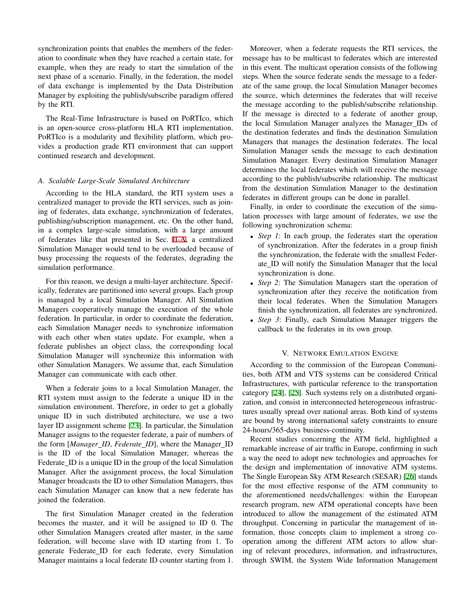synchronization points that enables the members of the federation to coordinate when they have reached a certain state, for example, when they are ready to start the simulation of the next phase of a scenario. Finally, in the federation, the model of data exchange is implemented by the Data Distribution Manager by exploiting the publish/subscribe paradigm offered by the RTI.

The Real-Time Infrastructure is based on PoRTIco, which is an open-source cross-platform HLA RTI implementation. PoRTIco is a modularity and flexibility platform, which provides a production grade RTI environment that can support continued research and development.

# *A. Scalable Large-Scale Simulated Architecture*

According to the HLA standard, the RTI system uses a centralized manager to provide the RTI services, such as joining of federates, data exchange, synchronization of federates, publishing/subscription management, etc. On the other hand, in a complex large-scale simulation, with a large amount of federates like that presented in Sec. [II-A](#page-1-1), a centralized Simulation Manager would tend to be overloaded because of busy processing the requests of the federates, degrading the simulation performance.

For this reason, we design a multi-layer architecture. Specifically, federates are partitioned into several groups. Each group is managed by a local Simulation Manager. All Simulation Managers cooperatively manage the execution of the whole federation. In particular, in order to coordinate the federation, each Simulation Manager needs to synchronize information with each other when states update. For example, when a federate publishes an object class, the corresponding local Simulation Manager will synchronize this information with other Simulation Managers. We assume that, each Simulation Manager can communicate with each other.

When a federate joins to a local Simulation Manager, the RTI system must assign to the federate a unique ID in the simulation environment. Therefore, in order to get a globally unique ID in such distributed architecture, we use a two layer ID assignment scheme [[23\]](#page-6-14). In particular, the Simulation Manager assigns to the requester federate, a pair of numbers of the form [*Manager ID*, *Federate ID*], where the Manager ID is the ID of the local Simulation Manager, whereas the Federate\_ID is a unique ID in the group of the local Simulation Manager. After the assignment process, the local Simulation Manager broadcasts the ID to other Simulation Managers, thus each Simulation Manager can know that a new federate has joined the federation.

The first Simulation Manager created in the federation becomes the master, and it will be assigned to ID 0. The other Simulation Managers created after master, in the same federation, will become slave with ID starting from 1. To generate Federate ID for each federate, every Simulation Manager maintains a local federate ID counter starting from 1.

Moreover, when a federate requests the RTI services, the message has to be multicast to federates which are interested in this event. The multicast operation consists of the following steps. When the source federate sends the message to a federate of the same group, the local Simulation Manager becomes the source, which determines the federates that will receive the message according to the publish/subscribe relationship. If the message is directed to a federate of another group, the local Simulation Manager analyzes the Manager IDs of the destination federates and finds the destination Simulation Managers that manages the destination federates. The local Simulation Manager sends the message to each destination Simulation Manager. Every destination Simulation Manager determines the local federates which will receive the message according to the publish/subscribe relationship. The multicast from the destination Simulation Manager to the destination federates in different groups can be done in parallel.

Finally, in order to coordinate the execution of the simulation processes with large amount of federates, we use the following synchronization schema:

- *• Step 1*: In each group, the federates start the operation of synchronization. After the federates in a group finish the synchronization, the federate with the smallest Federate ID will notify the Simulation Manager that the local synchronization is done.
- *• Step 2*: The Simulation Managers start the operation of synchronization after they receive the notification from their local federates. When the Simulation Managers finish the synchronization, all federates are synchronized.
- *• Step 3*: Finally, each Simulation Manager triggers the callback to the federates in its own group.

#### V. NETWORK EMULATION ENGINE

<span id="page-4-0"></span>According to the commission of the European Communities, both ATM and VTS systems can be considered Critical Infrastructures, with particular reference to the transportation category [\[24](#page-6-15)], [\[25](#page-6-16)]. Such systems rely on a distributed organization, and consist in interconnected heterogeneous infrastructures usually spread over national areas. Both kind of systems are bound by strong international safety constraints to ensure 24-hours/365-days business-continuity.

Recent studies concerning the ATM field, highlighted a remarkable increase of air traffic in Europe, confirming in such a way the need to adopt new technologies and approaches for the design and implementation of innovative ATM systems. The Single European Sky ATM Research (SESAR) [\[26](#page-6-17)] stands for the most effective response of the ATM community to the aforementioned needs/challenges: within the European research program, new ATM operational concepts have been introduced to allow the management of the estimated ATM throughput. Concerning in particular the management of information, those concepts claim to implement a strong cooperation among the different ATM actors to allow sharing of relevant procedures, information, and infrastructures, through SWIM, the System Wide Information Management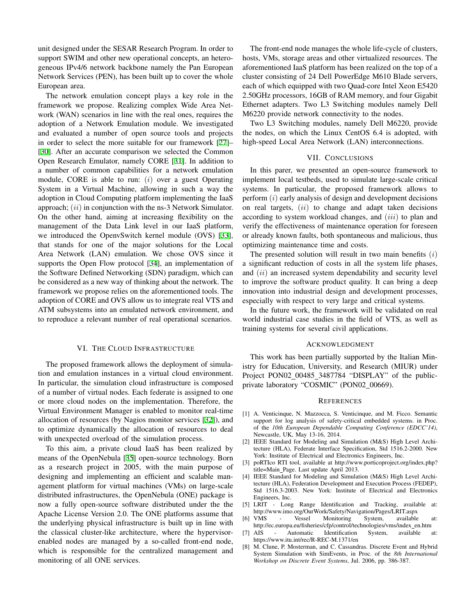unit designed under the SESAR Research Program. In order to support SWIM and other new operational concepts, an heterogeneous IPv4/6 network backbone namely the Pan European Network Services (PEN), has been built up to cover the whole European area.

The network emulation concept plays a key role in the framework we propose. Realizing complex Wide Area Network (WAN) scenarios in line with the real ones, requires the adoption of a Network Emulation module. We investigated and evaluated a number of open source tools and projects in order to select the more suitable for our framework [[27\]](#page-6-18)– [\[30](#page-6-19)]. After an accurate comparison we selected the Common Open Research Emulator, namely CORE [\[31](#page-6-20)]. In addition to a number of common capabilities for a network emulation module, CORE is able to run: (*i*) over a guest Operating System in a Virtual Machine, allowing in such a way the adoption in Cloud Computing platform implementing the IaaS approach; (*ii*) in conjunction with the ns-3 Network Simulator. On the other hand, aiming at increasing flexibility on the management of the Data Link level in our IaaS platform, we introduced the OpenvSwitch kernel module (OVS) [\[33](#page-6-21)], that stands for one of the major solutions for the Local Area Network (LAN) emulation. We chose OVS since it supports the Open Flow protocol [\[34](#page-6-22)], an implementation of the Software Defined Networking (SDN) paradigm, which can be considered as a new way of thinking about the network. The framework we propose relies on the aforementioned tools. The adoption of CORE and OVS allow us to integrate real VTS and ATM subsystems into an emulated network environment, and to reproduce a relevant number of real operational scenarios.

# VI. THE CLOUD INFRASTRUCTURE

<span id="page-5-3"></span>The proposed framework allows the deployment of simulation and emulation instances in a virtual cloud environment. In particular, the simulation cloud infrastructure is composed of a number of virtual nodes. Each federate is assigned to one or more cloud nodes on the implementation. Therefore, the Virtual Environment Manager is enabled to monitor real-time allocation of resources (by Nagios monitor services [[32\]](#page-6-23)), and to optimize dynamically the allocation of resources to deal with unexpected overload of the simulation process.

To this aim, a private cloud IaaS has been realized by means of the OpenNebula [[35\]](#page-6-24) open-source technology. Born as a research project in 2005, with the main purpose of designing and implementing an efficient and scalable management platform for virtual machines (VMs) on large-scale distributed infrastructures, the OpenNebula (ONE) package is now a fully open-source software distributed under the the Apache License Version 2.0. The ONE platforms assume that the underlying physical infrastructure is built up in line with the classical cluster-like architecture, where the hypervisorenabled nodes are managed by a so-called front-end node, which is responsible for the centralized management and monitoring of all ONE services.

The front-end node manages the whole life-cycle of clusters, hosts, VMs, storage areas and other virtualized resources. The aforementioned IaaS platform has been realized on the top of a cluster consisting of 24 Dell PowerEdge M610 Blade servers, each of which equipped with two Quad-core Intel Xeon E5420 2.50GHz processors, 16GB of RAM memory, and four Gigabit Ethernet adapters. Two L3 Switching modules namely Dell M6220 provide network connectivity to the nodes.

Two L3 Switching modules, namely Dell M6220, provide the nodes, on which the Linux CentOS 6.4 is adopted, with high-speed Local Area Network (LAN) interconnections.

# VII. CONCLUSIONS

<span id="page-5-4"></span>In this parer, we presented an open-source framework to implement local testbeds, used to simulate large-scale critical systems. In particular, the proposed framework allows to perform (*i*) early analysis of design and development decisions on real targets, (*ii*) to change and adapt taken decisions according to system workload changes, and (*iii*) to plan and verify the effectiveness of maintenance operation for foreseen or already known faults, both spontaneous and malicious, thus optimizing maintenance time and costs.

The presented solution will result in two main benefits (*i*) a significant reduction of costs in all the system life phases, and (*ii*) an increased system dependability and security level to improve the software product quality. It can bring a deep innovation into industrial design and development processes, especially with respect to very large and critical systems.

In the future work, the framework will be validated on real world industrial case studies in the field of VTS, as well as training systems for several civil applications.

#### ACKNOWLEDGMENT

This work has been partially supported by the Italian Ministry for Education, University, and Research (MIUR) under Project PON02 00485 3487784 "DISPLAY" of the publicprivate laboratory "COSMIC" (PON02\_00669).

#### **REFERENCES**

- <span id="page-5-0"></span>[1] A. Venticinque, N. Mazzocca, S. Venticinque, and M. Ficco. Semantic support for log analysis of safety-critical embedded systems. in Proc. of the *10th European Dependable Computing Conference (EDCC'14)*, Newcastle, UK, May 13-16, 2014.
- <span id="page-5-1"></span>[2] IEEE Standard for Modeling and Simulation (M&S) High Level Architecture (HLA), Federate Interface Specification, Std 1516.2-2000. New York: Institute of Electrical and Electronics Engineers, Inc.
- <span id="page-5-2"></span>[3] poRTIco RTI tool, available at http://www.porticoproject.org/index.php? title=Main Page. Last update April 2013.
- <span id="page-5-8"></span>[4] IEEE Standard for Modeling and Simulation (M&S) High Level Architecture (HLA), Federation Development and Execution Process (FEDEP), Std 1516.3-2003. New York: Institute of Electrical and Electronics Engineers, Inc.
- <span id="page-5-5"></span>[5] LRIT - Long Range Identification and Tracking, available at: http://www.imo.org/OurWork/Safety/Navigation/Pages/LRIT.aspx
- <span id="page-5-6"></span>[6] VMS - Vessel Monitoring System, available at: http://ec.europa.eu/fisheries/cfp/control/technologies/vms/index\_en.htm
- <span id="page-5-7"></span>[7] AIS - Automatic Identification System, available at: https://www.itu.int/rec/R-REC-M.1371/en
- <span id="page-5-9"></span>[8] M. Clune, P. Mosterman, and C. Cassandras. Discrete Event and Hybrid System Simulation with SimEvents, in Proc. of the *8th International Workshop on Discrete Event Systems*, Jul. 2006, pp. 386-387.